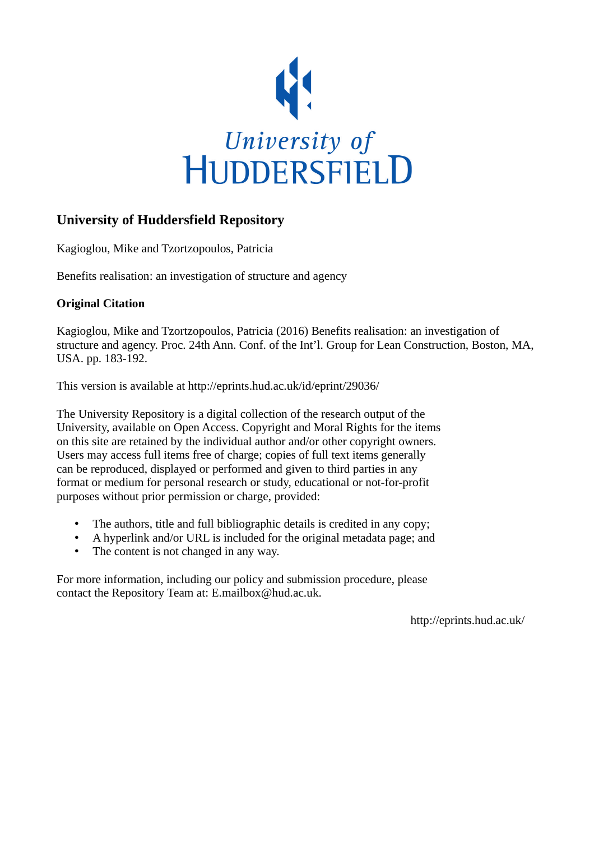

### **University of Huddersfield Repository**

Kagioglou, Mike and Tzortzopoulos, Patricia

Benefits realisation: an investigation of structure and agency

#### **Original Citation**

Kagioglou, Mike and Tzortzopoulos, Patricia (2016) Benefits realisation: an investigation of structure and agency. Proc. 24th Ann. Conf. of the Int'l. Group for Lean Construction, Boston, MA, USA. pp. 183-192.

This version is available at http://eprints.hud.ac.uk/id/eprint/29036/

The University Repository is a digital collection of the research output of the University, available on Open Access. Copyright and Moral Rights for the items on this site are retained by the individual author and/or other copyright owners. Users may access full items free of charge; copies of full text items generally can be reproduced, displayed or performed and given to third parties in any format or medium for personal research or study, educational or not-for-profit purposes without prior permission or charge, provided:

- The authors, title and full bibliographic details is credited in any copy;
- A hyperlink and/or URL is included for the original metadata page; and
- The content is not changed in any way.

For more information, including our policy and submission procedure, please contact the Repository Team at: E.mailbox@hud.ac.uk.

http://eprints.hud.ac.uk/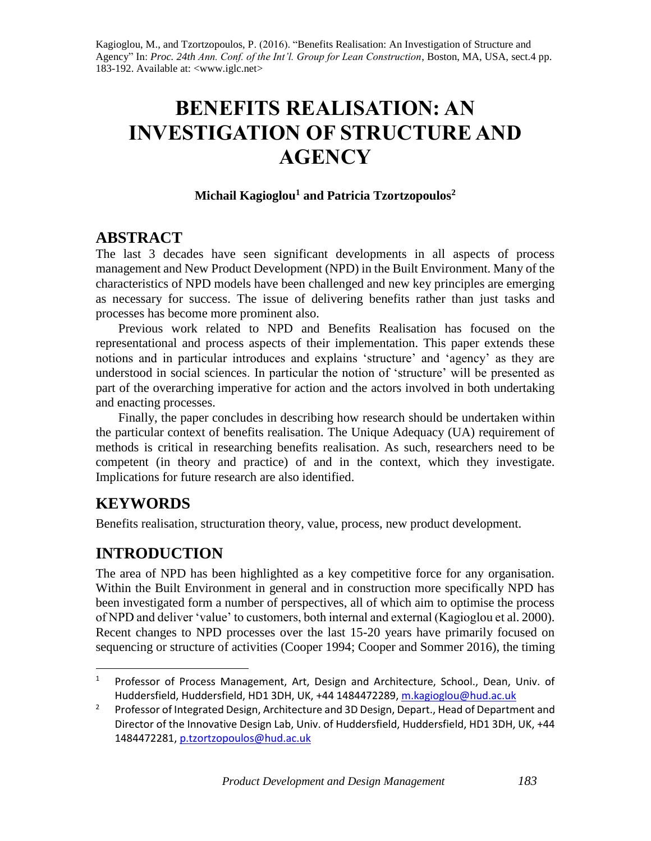Kagioglou, M., and Tzortzopoulos, P. (2016). "Benefits Realisation: An Investigation of Structure and Agency" In: *Proc. 24th Ann. Conf. of the Int'l. Group for Lean Construction*, Boston, MA, USA, sect.4 pp. 183-192. Available at: <www.iglc.net>

# **BENEFITS REALISATION: AN INVESTIGATION OF STRUCTURE AND AGENCY**

#### **Michail Kagioglou<sup>1</sup> and Patricia Tzortzopoulos<sup>2</sup>**

### **ABSTRACT**

The last 3 decades have seen significant developments in all aspects of process management and New Product Development (NPD) in the Built Environment. Many of the characteristics of NPD models have been challenged and new key principles are emerging as necessary for success. The issue of delivering benefits rather than just tasks and processes has become more prominent also.

Previous work related to NPD and Benefits Realisation has focused on the representational and process aspects of their implementation. This paper extends these notions and in particular introduces and explains 'structure' and 'agency' as they are understood in social sciences. In particular the notion of 'structure' will be presented as part of the overarching imperative for action and the actors involved in both undertaking and enacting processes.

Finally, the paper concludes in describing how research should be undertaken within the particular context of benefits realisation. The Unique Adequacy (UA) requirement of methods is critical in researching benefits realisation. As such, researchers need to be competent (in theory and practice) of and in the context, which they investigate. Implications for future research are also identified.

# **KEYWORDS**

l

Benefits realisation, structuration theory, value, process, new product development.

# **INTRODUCTION**

The area of NPD has been highlighted as a key competitive force for any organisation. Within the Built Environment in general and in construction more specifically NPD has been investigated form a number of perspectives, all of which aim to optimise the process of NPD and deliver 'value' to customers, both internal and external (Kagioglou et al. 2000). Recent changes to NPD processes over the last 15-20 years have primarily focused on sequencing or structure of activities (Cooper 1994; Cooper and Sommer 2016), the timing

<sup>&</sup>lt;sup>1</sup> Professor of Process Management, Art, Design and Architecture, School., Dean, Univ. of Huddersfield, Huddersfield, HD1 3DH, UK, +44 1484472289[, m.kagioglou@hud.ac.uk](mailto:tommelein@berkeley.edu)

<sup>&</sup>lt;sup>2</sup> Professor of Integrated Design, Architecture and 3D Design, Depart., Head of Department and Director of the Innovative Design Lab, Univ. of Huddersfield, Huddersfield, HD1 3DH, UK, +44 1484472281, [p.tzortzopoulos@hud.ac.uk](mailto:p.tzortzopoulos@hud.ac.uk)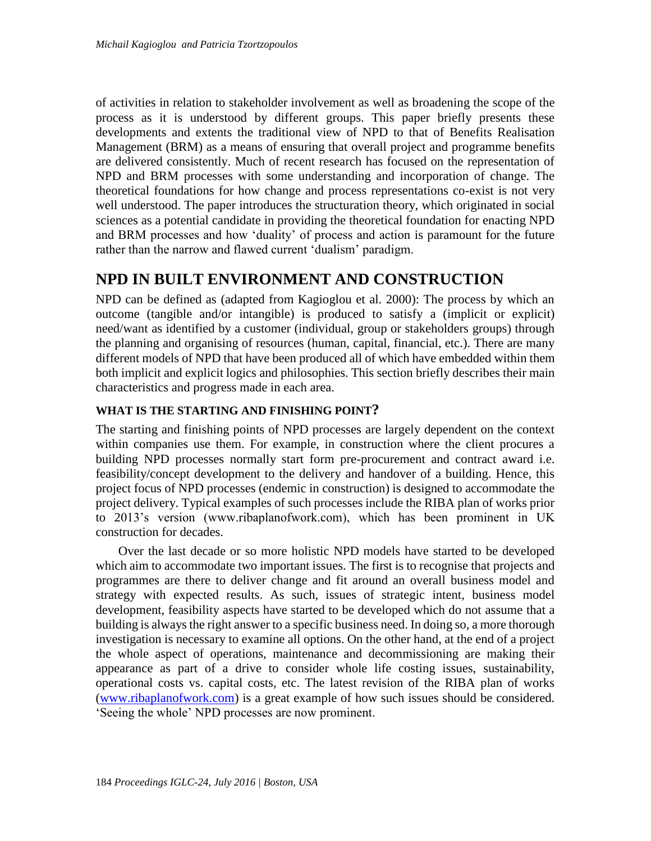of activities in relation to stakeholder involvement as well as broadening the scope of the process as it is understood by different groups. This paper briefly presents these developments and extents the traditional view of NPD to that of Benefits Realisation Management (BRM) as a means of ensuring that overall project and programme benefits are delivered consistently. Much of recent research has focused on the representation of NPD and BRM processes with some understanding and incorporation of change. The theoretical foundations for how change and process representations co-exist is not very well understood. The paper introduces the structuration theory, which originated in social sciences as a potential candidate in providing the theoretical foundation for enacting NPD and BRM processes and how 'duality' of process and action is paramount for the future rather than the narrow and flawed current 'dualism' paradigm.

# **NPD IN BUILT ENVIRONMENT AND CONSTRUCTION**

NPD can be defined as (adapted from Kagioglou et al. 2000): The process by which an outcome (tangible and/or intangible) is produced to satisfy a (implicit or explicit) need/want as identified by a customer (individual, group or stakeholders groups) through the planning and organising of resources (human, capital, financial, etc.). There are many different models of NPD that have been produced all of which have embedded within them both implicit and explicit logics and philosophies. This section briefly describes their main characteristics and progress made in each area.

#### **WHAT IS THE STARTING AND FINISHING POINT?**

The starting and finishing points of NPD processes are largely dependent on the context within companies use them. For example, in construction where the client procures a building NPD processes normally start form pre-procurement and contract award i.e. feasibility/concept development to the delivery and handover of a building. Hence, this project focus of NPD processes (endemic in construction) is designed to accommodate the project delivery. Typical examples of such processes include the RIBA plan of works prior to 2013's version (www.ribaplanofwork.com), which has been prominent in UK construction for decades.

Over the last decade or so more holistic NPD models have started to be developed which aim to accommodate two important issues. The first is to recognise that projects and programmes are there to deliver change and fit around an overall business model and strategy with expected results. As such, issues of strategic intent, business model development, feasibility aspects have started to be developed which do not assume that a building is always the right answer to a specific business need. In doing so, a more thorough investigation is necessary to examine all options. On the other hand, at the end of a project the whole aspect of operations, maintenance and decommissioning are making their appearance as part of a drive to consider whole life costing issues, sustainability, operational costs vs. capital costs, etc. The latest revision of the RIBA plan of works [\(www.ribaplanofwork.com\)](http://www.ribaplanofwork.com/) is a great example of how such issues should be considered. 'Seeing the whole' NPD processes are now prominent.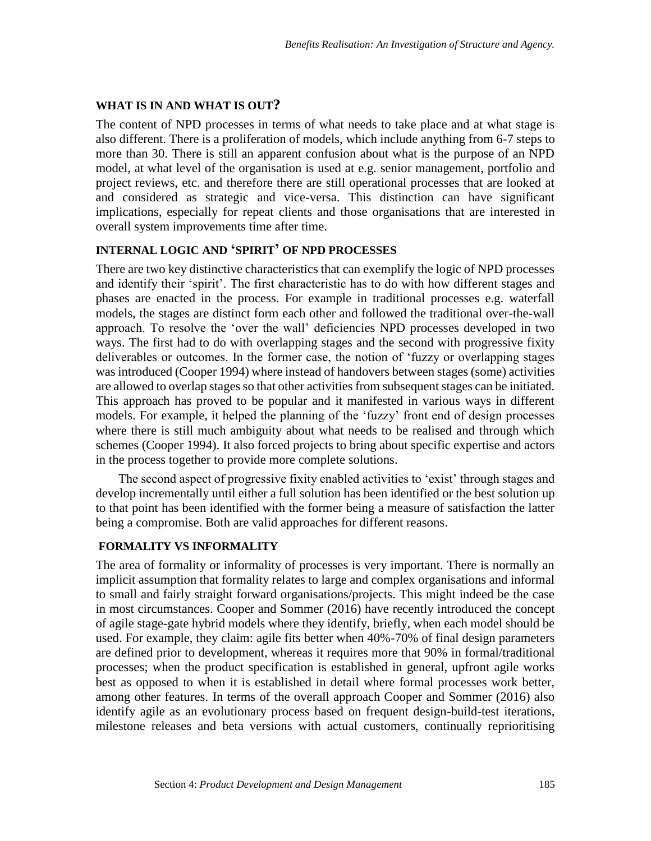#### **WHAT IS IN AND WHAT IS OUT?**

The content of NPD processes in terms of what needs to take place and at what stage is also different. There is a proliferation of models, which include anything from 6-7 steps to more than 30. There is still an apparent confusion about what is the purpose of an NPD model, at what level of the organisation is used at e.g. senior management, portfolio and project reviews, etc. and therefore there are still operational processes that are looked at and considered as strategic and vice-versa. This distinction can have significant implications, especially for repeat clients and those organisations that are interested in overall system improvements time after time.

#### **INTERNAL LOGIC AND 'SPIRIT' OF NPD PROCESSES**

There are two key distinctive characteristics that can exemplify the logic of NPD processes and identify their 'spirit'. The first characteristic has to do with how different stages and phases are enacted in the process. For example in traditional processes e.g. waterfall models, the stages are distinct form each other and followed the traditional over-the-wall approach. To resolve the 'over the wall' deficiencies NPD processes developed in two ways. The first had to do with overlapping stages and the second with progressive fixity deliverables or outcomes. In the former case, the notion of 'fuzzy or overlapping stages was introduced (Cooper 1994) where instead of handovers between stages (some) activities are allowed to overlap stages so that other activities from subsequent stages can be initiated. This approach has proved to be popular and it manifested in various ways in different models. For example, it helped the planning of the 'fuzzy' front end of design processes where there is still much ambiguity about what needs to be realised and through which schemes (Cooper 1994). It also forced projects to bring about specific expertise and actors in the process together to provide more complete solutions.

The second aspect of progressive fixity enabled activities to 'exist' through stages and develop incrementally until either a full solution has been identified or the best solution up to that point has been identified with the former being a measure of satisfaction the latter being a compromise. Both are valid approaches for different reasons.

#### **FORMALITY VS INFORMALITY**

The area of formality or informality of processes is very important. There is normally an implicit assumption that formality relates to large and complex organisations and informal to small and fairly straight forward organisations/projects. This might indeed be the case in most circumstances. Cooper and Sommer (2016) have recently introduced the concept of agile stage-gate hybrid models where they identify, briefly, when each model should be used. For example, they claim: agile fits better when 40%-70% of final design parameters are defined prior to development, whereas it requires more that 90% in formal/traditional processes; when the product specification is established in general, upfront agile works best as opposed to when it is established in detail where formal processes work better, among other features. In terms of the overall approach Cooper and Sommer (2016) also identify agile as an evolutionary process based on frequent design-build-test iterations, milestone releases and beta versions with actual customers, continually reprioritising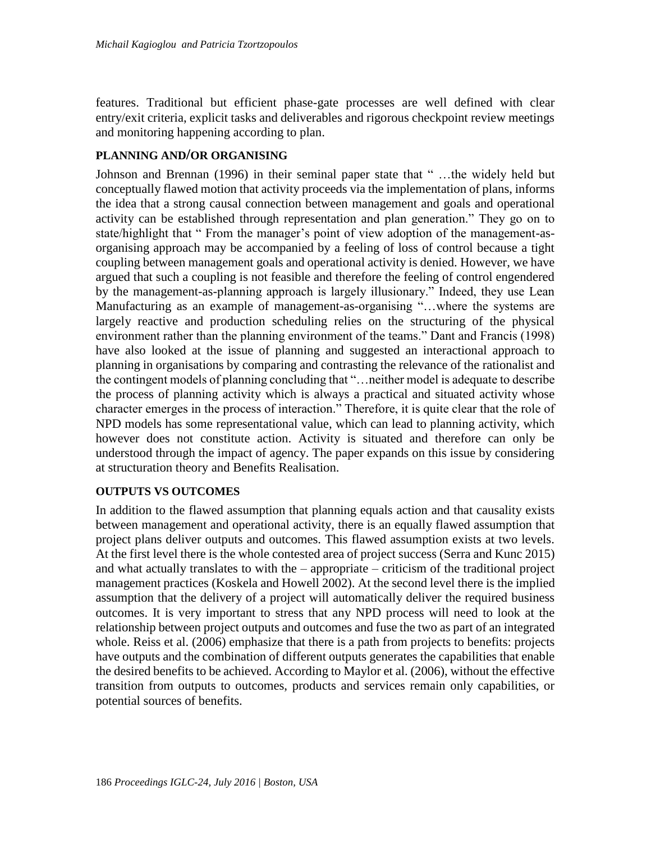features. Traditional but efficient phase-gate processes are well defined with clear entry/exit criteria, explicit tasks and deliverables and rigorous checkpoint review meetings and monitoring happening according to plan.

#### **PLANNING AND/OR ORGANISING**

Johnson and Brennan (1996) in their seminal paper state that " …the widely held but conceptually flawed motion that activity proceeds via the implementation of plans, informs the idea that a strong causal connection between management and goals and operational activity can be established through representation and plan generation." They go on to state/highlight that " From the manager's point of view adoption of the management-asorganising approach may be accompanied by a feeling of loss of control because a tight coupling between management goals and operational activity is denied. However, we have argued that such a coupling is not feasible and therefore the feeling of control engendered by the management-as-planning approach is largely illusionary." Indeed, they use Lean Manufacturing as an example of management-as-organising "…where the systems are largely reactive and production scheduling relies on the structuring of the physical environment rather than the planning environment of the teams." Dant and Francis (1998) have also looked at the issue of planning and suggested an interactional approach to planning in organisations by comparing and contrasting the relevance of the rationalist and the contingent models of planning concluding that "…neither model is adequate to describe the process of planning activity which is always a practical and situated activity whose character emerges in the process of interaction." Therefore, it is quite clear that the role of NPD models has some representational value, which can lead to planning activity, which however does not constitute action. Activity is situated and therefore can only be understood through the impact of agency. The paper expands on this issue by considering at structuration theory and Benefits Realisation.

#### **OUTPUTS VS OUTCOMES**

In addition to the flawed assumption that planning equals action and that causality exists between management and operational activity, there is an equally flawed assumption that project plans deliver outputs and outcomes. This flawed assumption exists at two levels. At the first level there is the whole contested area of project success (Serra and Kunc 2015) and what actually translates to with the – appropriate – criticism of the traditional project management practices (Koskela and Howell 2002). At the second level there is the implied assumption that the delivery of a project will automatically deliver the required business outcomes. It is very important to stress that any NPD process will need to look at the relationship between project outputs and outcomes and fuse the two as part of an integrated whole. Reiss et al. (2006) emphasize that there is a path from projects to benefits: projects have outputs and the combination of different outputs generates the capabilities that enable the desired benefits to be achieved. According to Maylor et al. (2006), without the effective transition from outputs to outcomes, products and services remain only capabilities, or potential sources of benefits.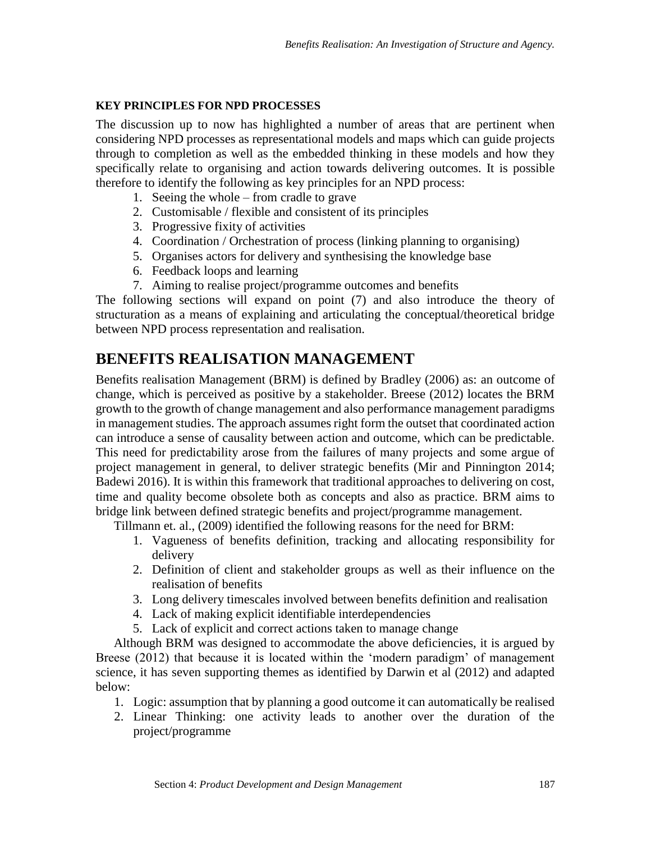#### **KEY PRINCIPLES FOR NPD PROCESSES**

The discussion up to now has highlighted a number of areas that are pertinent when considering NPD processes as representational models and maps which can guide projects through to completion as well as the embedded thinking in these models and how they specifically relate to organising and action towards delivering outcomes. It is possible therefore to identify the following as key principles for an NPD process:

- 1. Seeing the whole from cradle to grave
- 2. Customisable / flexible and consistent of its principles
- 3. Progressive fixity of activities
- 4. Coordination / Orchestration of process (linking planning to organising)
- 5. Organises actors for delivery and synthesising the knowledge base
- 6. Feedback loops and learning
- 7. Aiming to realise project/programme outcomes and benefits

The following sections will expand on point (7) and also introduce the theory of structuration as a means of explaining and articulating the conceptual/theoretical bridge between NPD process representation and realisation.

# **BENEFITS REALISATION MANAGEMENT**

Benefits realisation Management (BRM) is defined by Bradley (2006) as: an outcome of change, which is perceived as positive by a stakeholder. Breese (2012) locates the BRM growth to the growth of change management and also performance management paradigms in management studies. The approach assumes right form the outset that coordinated action can introduce a sense of causality between action and outcome, which can be predictable. This need for predictability arose from the failures of many projects and some argue of project management in general, to deliver strategic benefits (Mir and Pinnington 2014; Badewi 2016). It is within this framework that traditional approaches to delivering on cost, time and quality become obsolete both as concepts and also as practice. BRM aims to bridge link between defined strategic benefits and project/programme management.

Tillmann et. al., (2009) identified the following reasons for the need for BRM:

- 1. Vagueness of benefits definition, tracking and allocating responsibility for delivery
- 2. Definition of client and stakeholder groups as well as their influence on the realisation of benefits
- 3. Long delivery timescales involved between benefits definition and realisation
- 4. Lack of making explicit identifiable interdependencies
- 5. Lack of explicit and correct actions taken to manage change

Although BRM was designed to accommodate the above deficiencies, it is argued by Breese (2012) that because it is located within the 'modern paradigm' of management science, it has seven supporting themes as identified by Darwin et al (2012) and adapted below:

- 1. Logic: assumption that by planning a good outcome it can automatically be realised
- 2. Linear Thinking: one activity leads to another over the duration of the project/programme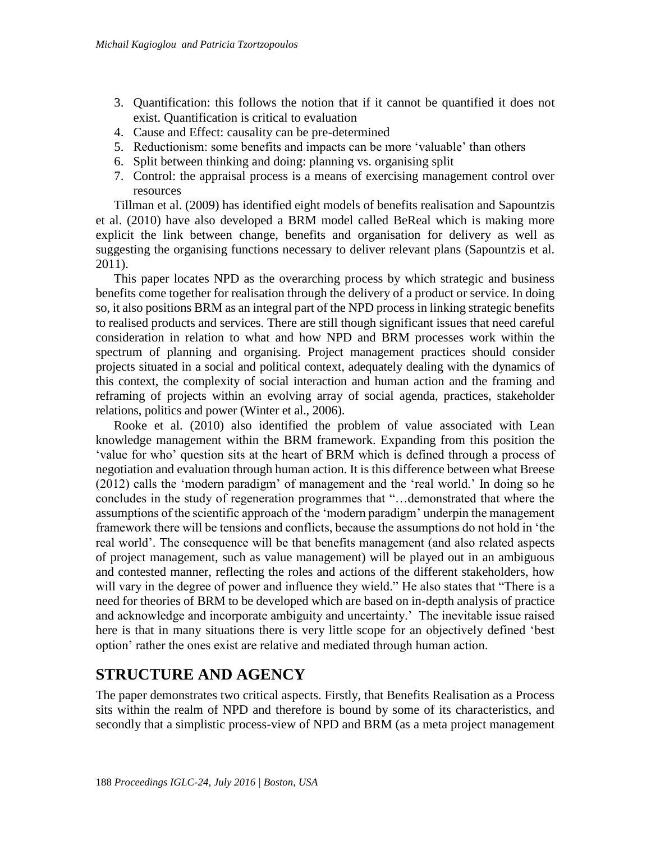- 3. Quantification: this follows the notion that if it cannot be quantified it does not exist. Quantification is critical to evaluation
- 4. Cause and Effect: causality can be pre-determined
- 5. Reductionism: some benefits and impacts can be more 'valuable' than others
- 6. Split between thinking and doing: planning vs. organising split
- 7. Control: the appraisal process is a means of exercising management control over resources

Tillman et al. (2009) has identified eight models of benefits realisation and Sapountzis et al. (2010) have also developed a BRM model called BeReal which is making more explicit the link between change, benefits and organisation for delivery as well as suggesting the organising functions necessary to deliver relevant plans (Sapountzis et al. 2011).

This paper locates NPD as the overarching process by which strategic and business benefits come together for realisation through the delivery of a product or service. In doing so, it also positions BRM as an integral part of the NPD process in linking strategic benefits to realised products and services. There are still though significant issues that need careful consideration in relation to what and how NPD and BRM processes work within the spectrum of planning and organising. Project management practices should consider projects situated in a social and political context, adequately dealing with the dynamics of this context, the complexity of social interaction and human action and the framing and reframing of projects within an evolving array of social agenda, practices, stakeholder relations, politics and power (Winter et al., 2006).

Rooke et al. (2010) also identified the problem of value associated with Lean knowledge management within the BRM framework. Expanding from this position the 'value for who' question sits at the heart of BRM which is defined through a process of negotiation and evaluation through human action. It is this difference between what Breese (2012) calls the 'modern paradigm' of management and the 'real world.' In doing so he concludes in the study of regeneration programmes that "…demonstrated that where the assumptions of the scientific approach of the 'modern paradigm' underpin the management framework there will be tensions and conflicts, because the assumptions do not hold in 'the real world'. The consequence will be that benefits management (and also related aspects of project management, such as value management) will be played out in an ambiguous and contested manner, reflecting the roles and actions of the different stakeholders, how will vary in the degree of power and influence they wield." He also states that "There is a need for theories of BRM to be developed which are based on in-depth analysis of practice and acknowledge and incorporate ambiguity and uncertainty.' The inevitable issue raised here is that in many situations there is very little scope for an objectively defined 'best option' rather the ones exist are relative and mediated through human action.

## **STRUCTURE AND AGENCY**

The paper demonstrates two critical aspects. Firstly, that Benefits Realisation as a Process sits within the realm of NPD and therefore is bound by some of its characteristics, and secondly that a simplistic process-view of NPD and BRM (as a meta project management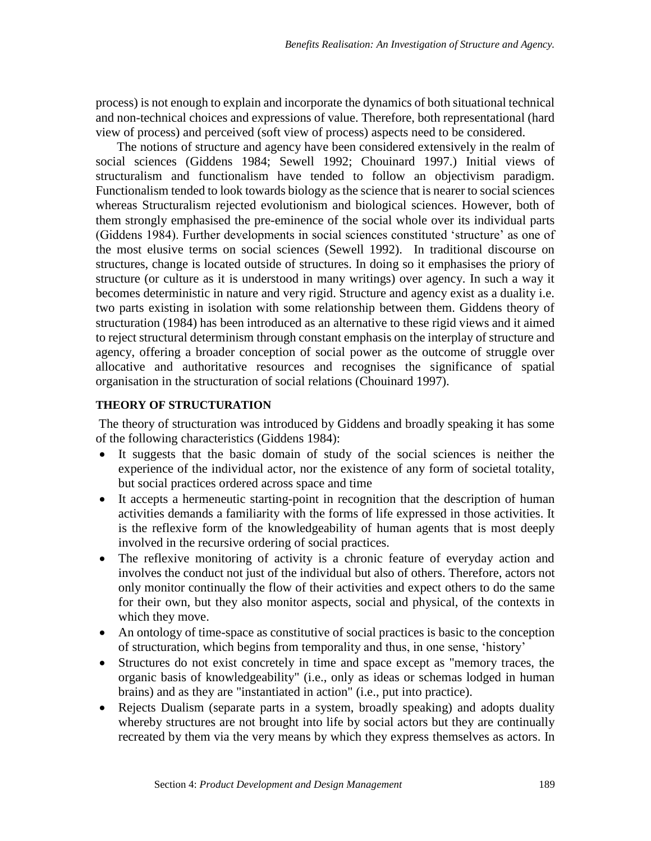process) is not enough to explain and incorporate the dynamics of both situational technical and non-technical choices and expressions of value. Therefore, both representational (hard view of process) and perceived (soft view of process) aspects need to be considered.

The notions of structure and agency have been considered extensively in the realm of social sciences (Giddens 1984; Sewell 1992; Chouinard 1997.) Initial views of structuralism and functionalism have tended to follow an objectivism paradigm. Functionalism tended to look towards biology as the science that is nearer to social sciences whereas Structuralism rejected evolutionism and biological sciences. However, both of them strongly emphasised the pre-eminence of the social whole over its individual parts (Giddens 1984). Further developments in social sciences constituted 'structure' as one of the most elusive terms on social sciences (Sewell 1992). In traditional discourse on structures, change is located outside of structures. In doing so it emphasises the priory of structure (or culture as it is understood in many writings) over agency. In such a way it becomes deterministic in nature and very rigid. Structure and agency exist as a duality i.e. two parts existing in isolation with some relationship between them. Giddens theory of structuration (1984) has been introduced as an alternative to these rigid views and it aimed to reject structural determinism through constant emphasis on the interplay of structure and agency, offering a broader conception of social power as the outcome of struggle over allocative and authoritative resources and recognises the significance of spatial organisation in the structuration of social relations (Chouinard 1997).

#### **THEORY OF STRUCTURATION**

The theory of structuration was introduced by Giddens and broadly speaking it has some of the following characteristics (Giddens 1984):

- It suggests that the basic domain of study of the social sciences is neither the experience of the individual actor, nor the existence of any form of societal totality, but social practices ordered across space and time
- It accepts a hermeneutic starting-point in recognition that the description of human activities demands a familiarity with the forms of life expressed in those activities. It is the reflexive form of the knowledgeability of human agents that is most deeply involved in the recursive ordering of social practices.
- The reflexive monitoring of activity is a chronic feature of everyday action and involves the conduct not just of the individual but also of others. Therefore, actors not only monitor continually the flow of their activities and expect others to do the same for their own, but they also monitor aspects, social and physical, of the contexts in which they move.
- An ontology of time-space as constitutive of social practices is basic to the conception of structuration, which begins from temporality and thus, in one sense, 'history'
- Structures do not exist concretely in time and space except as "memory traces, the organic basis of knowledgeability" (i.e., only as ideas or schemas lodged in human brains) and as they are "instantiated in action" (i.e., put into practice).
- Rejects Dualism (separate parts in a system, broadly speaking) and adopts duality whereby structures are not brought into life by social actors but they are continually recreated by them via the very means by which they express themselves as actors. In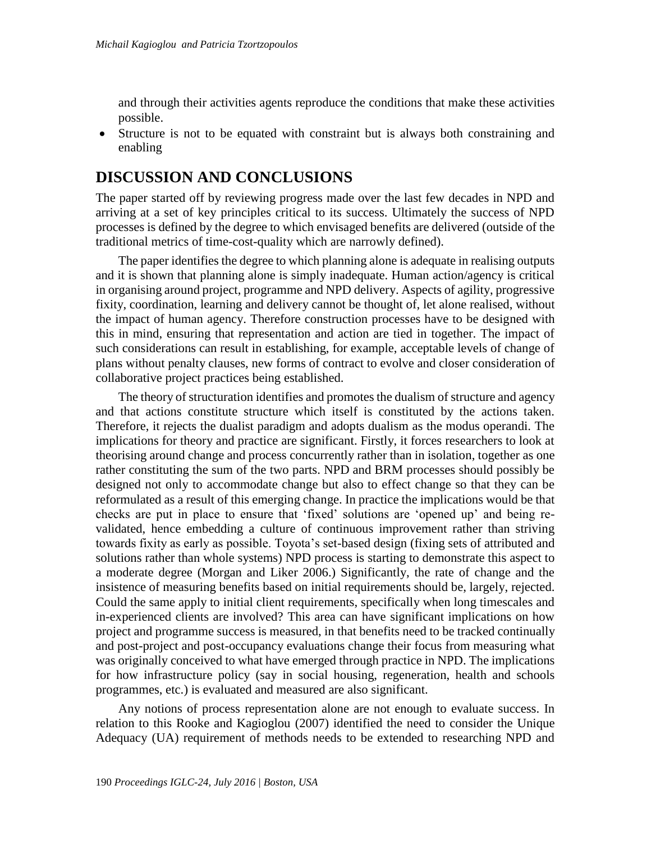and through their activities agents reproduce the conditions that make these activities possible.

 Structure is not to be equated with constraint but is always both constraining and enabling

### **DISCUSSION AND CONCLUSIONS**

The paper started off by reviewing progress made over the last few decades in NPD and arriving at a set of key principles critical to its success. Ultimately the success of NPD processes is defined by the degree to which envisaged benefits are delivered (outside of the traditional metrics of time-cost-quality which are narrowly defined).

The paper identifies the degree to which planning alone is adequate in realising outputs and it is shown that planning alone is simply inadequate. Human action/agency is critical in organising around project, programme and NPD delivery. Aspects of agility, progressive fixity, coordination, learning and delivery cannot be thought of, let alone realised, without the impact of human agency. Therefore construction processes have to be designed with this in mind, ensuring that representation and action are tied in together. The impact of such considerations can result in establishing, for example, acceptable levels of change of plans without penalty clauses, new forms of contract to evolve and closer consideration of collaborative project practices being established.

The theory of structuration identifies and promotes the dualism of structure and agency and that actions constitute structure which itself is constituted by the actions taken. Therefore, it rejects the dualist paradigm and adopts dualism as the modus operandi. The implications for theory and practice are significant. Firstly, it forces researchers to look at theorising around change and process concurrently rather than in isolation, together as one rather constituting the sum of the two parts. NPD and BRM processes should possibly be designed not only to accommodate change but also to effect change so that they can be reformulated as a result of this emerging change. In practice the implications would be that checks are put in place to ensure that 'fixed' solutions are 'opened up' and being revalidated, hence embedding a culture of continuous improvement rather than striving towards fixity as early as possible. Toyota's set-based design (fixing sets of attributed and solutions rather than whole systems) NPD process is starting to demonstrate this aspect to a moderate degree (Morgan and Liker 2006.) Significantly, the rate of change and the insistence of measuring benefits based on initial requirements should be, largely, rejected. Could the same apply to initial client requirements, specifically when long timescales and in-experienced clients are involved? This area can have significant implications on how project and programme success is measured, in that benefits need to be tracked continually and post-project and post-occupancy evaluations change their focus from measuring what was originally conceived to what have emerged through practice in NPD. The implications for how infrastructure policy (say in social housing, regeneration, health and schools programmes, etc.) is evaluated and measured are also significant.

Any notions of process representation alone are not enough to evaluate success. In relation to this Rooke and Kagioglou (2007) identified the need to consider the Unique Adequacy (UA) requirement of methods needs to be extended to researching NPD and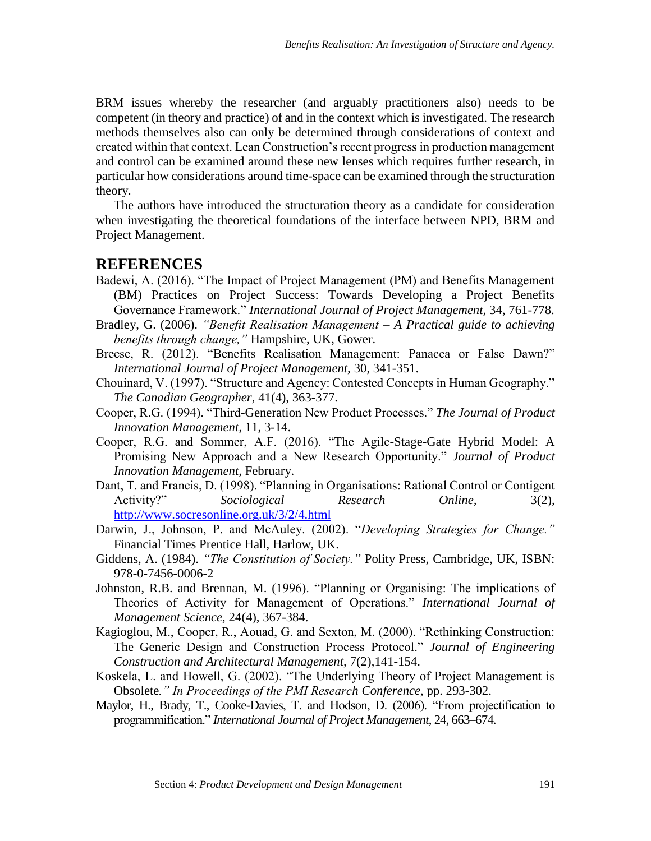BRM issues whereby the researcher (and arguably practitioners also) needs to be competent (in theory and practice) of and in the context which is investigated. The research methods themselves also can only be determined through considerations of context and created within that context. Lean Construction's recent progress in production management and control can be examined around these new lenses which requires further research, in particular how considerations around time-space can be examined through the structuration theory.

The authors have introduced the structuration theory as a candidate for consideration when investigating the theoretical foundations of the interface between NPD, BRM and Project Management.

#### **REFERENCES**

- Badewi, A. (2016). "The Impact of Project Management (PM) and Benefits Management (BM) Practices on Project Success: Towards Developing a Project Benefits Governance Framework." *International Journal of Project Management,* 34, 761-778.
- Bradley, G. (2006). *"Benefit Realisation Management – A Practical guide to achieving benefits through change,"* Hampshire, UK, Gower.
- Breese, R. (2012). "Benefits Realisation Management: Panacea or False Dawn?" *International Journal of Project Management,* 30, 341-351.
- Chouinard, V. (1997). "Structure and Agency: Contested Concepts in Human Geography." *The Canadian Geographer,* 41(4), 363-377.
- Cooper, R.G. (1994). "Third-Generation New Product Processes." *The Journal of Product Innovation Management*, 11, 3-14.
- Cooper, R.G. and Sommer, A.F. (2016). "The Agile-Stage-Gate Hybrid Model: A Promising New Approach and a New Research Opportunity." *Journal of Product Innovation Management,* February.
- Dant, T. and Francis, D. (1998). "Planning in Organisations: Rational Control or Contigent Activity?" *Sociological Research Online,* 3(2), <http://www.socresonline.org.uk/3/2/4.html>
- Darwin, J., Johnson, P. and McAuley. (2002). "*Developing Strategies for Change."*  Financial Times Prentice Hall, Harlow, UK.
- Giddens, A. (1984). *"The Constitution of Society."* Polity Press, Cambridge, UK, ISBN: 978-0-7456-0006-2
- Johnston, R.B. and Brennan, M. (1996). "Planning or Organising: The implications of Theories of Activity for Management of Operations." *International Journal of Management Science,* 24(4), 367-384.
- Kagioglou, M., Cooper, R., Aouad, G. and Sexton, M. (2000). "Rethinking Construction: The Generic Design and Construction Process Protocol." *Journal of Engineering Construction and Architectural Management,* 7(2),141-154.
- Koskela, L. and Howell, G. (2002). "The Underlying Theory of Project Management is Obsolete*." In Proceedings of the PMI Research Conference,* pp. 293-302.
- Maylor, H., Brady, T., Cooke-Davies, T. and Hodson, D. (2006). "From projectification to programmification." *International Journal of Project Management*, 24, 663–674.